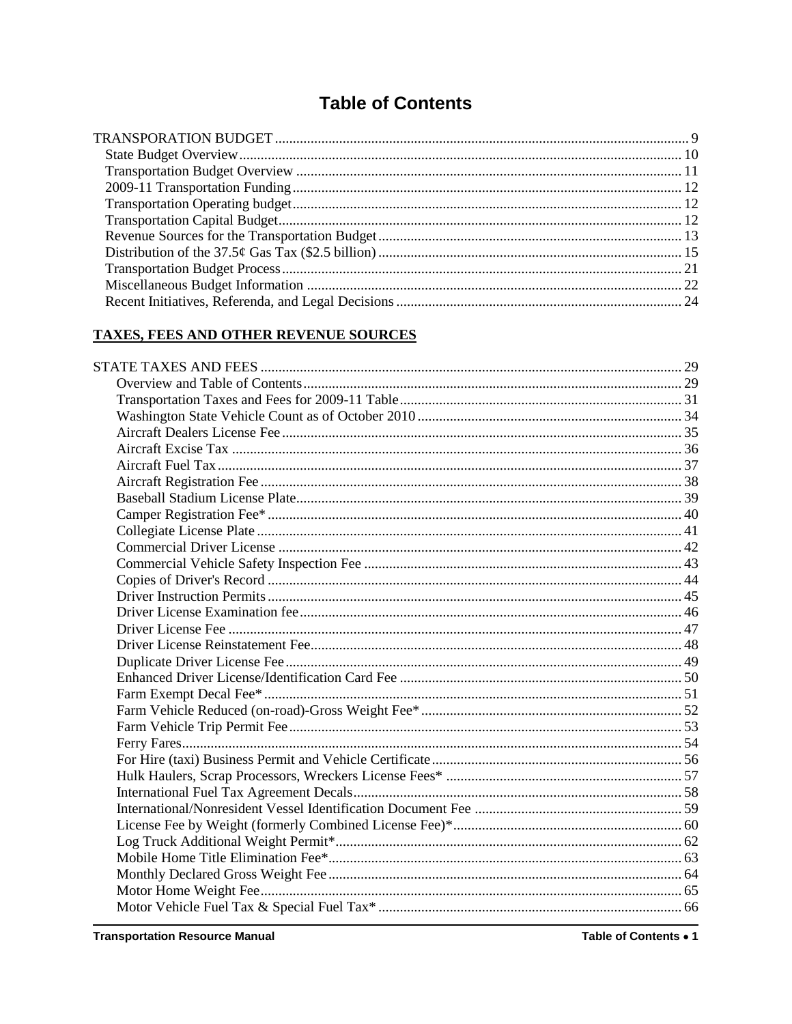# **Table of Contents**

## **TAXES, FEES AND OTHER REVENUE SOURCES**

Table of Contents . 1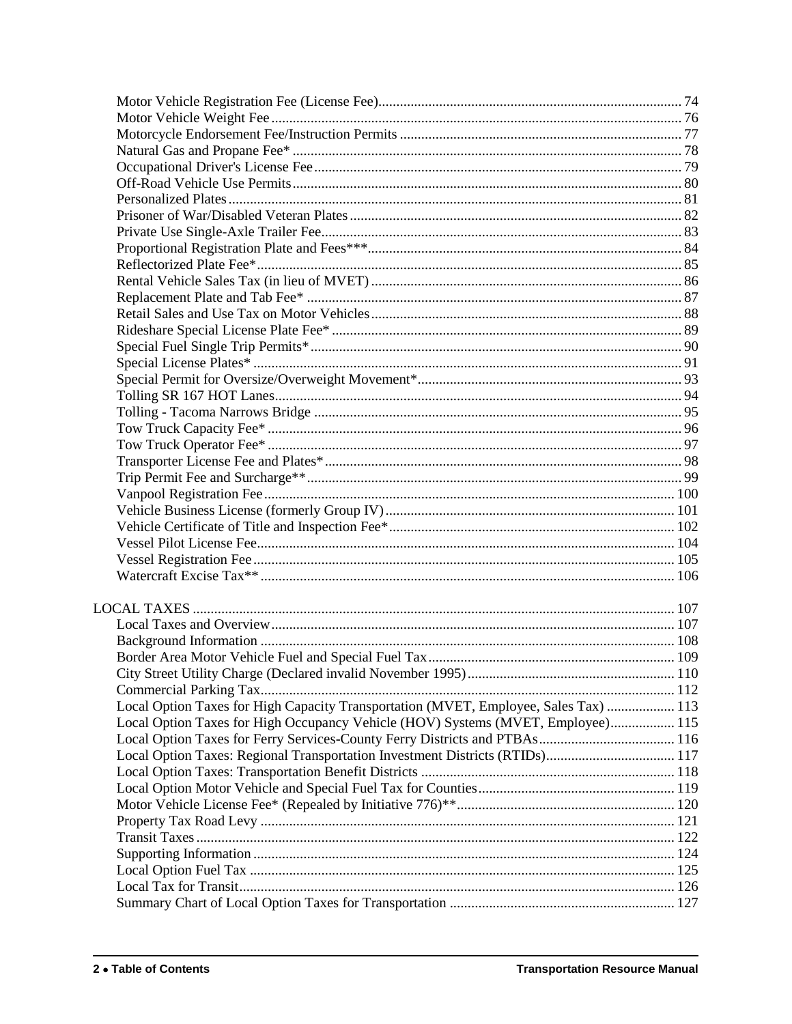| Local Option Taxes for High Capacity Transportation (MVET, Employee, Sales Tax)  113 |  |
|--------------------------------------------------------------------------------------|--|
| Local Option Taxes for High Occupancy Vehicle (HOV) Systems (MVET, Employee) 115     |  |
| Local Option Taxes for Ferry Services-County Ferry Districts and PTBAs 116           |  |
| Local Option Taxes: Regional Transportation Investment Districts (RTIDs) 117         |  |
|                                                                                      |  |
|                                                                                      |  |
|                                                                                      |  |
|                                                                                      |  |
|                                                                                      |  |
|                                                                                      |  |
|                                                                                      |  |
|                                                                                      |  |
|                                                                                      |  |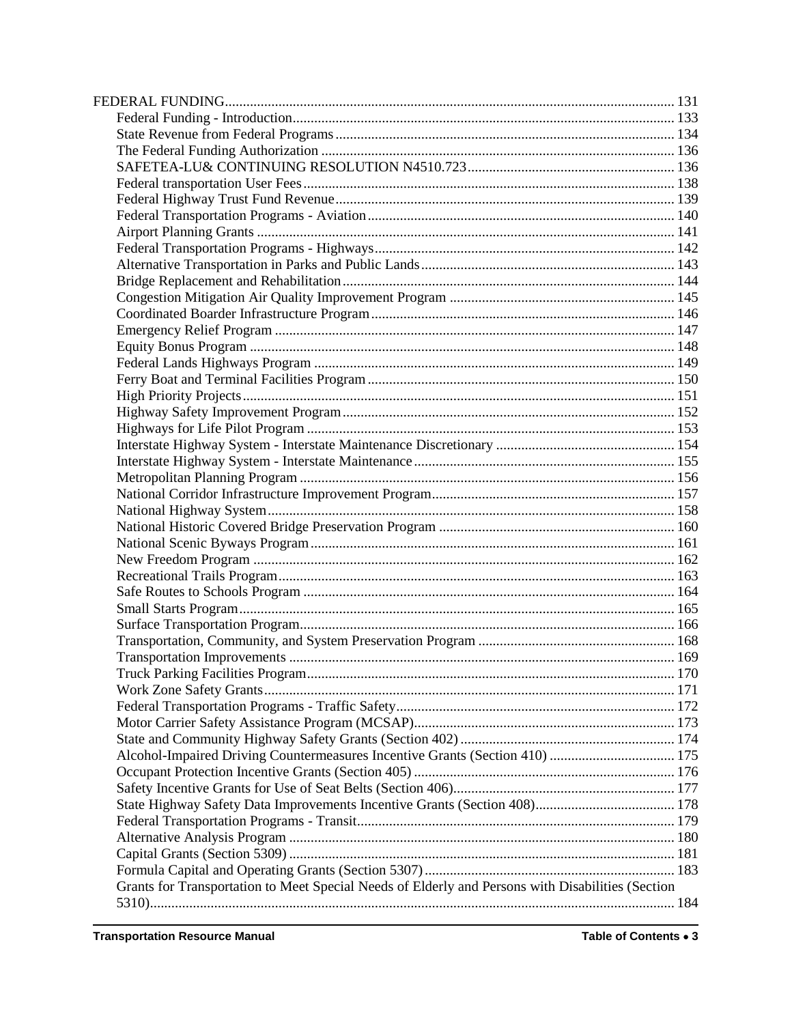| Alcohol-Impaired Driving Countermeasures Incentive Grants (Section 410)  175                      |  |
|---------------------------------------------------------------------------------------------------|--|
|                                                                                                   |  |
|                                                                                                   |  |
|                                                                                                   |  |
|                                                                                                   |  |
|                                                                                                   |  |
|                                                                                                   |  |
|                                                                                                   |  |
| Grants for Transportation to Meet Special Needs of Elderly and Persons with Disabilities (Section |  |
|                                                                                                   |  |
|                                                                                                   |  |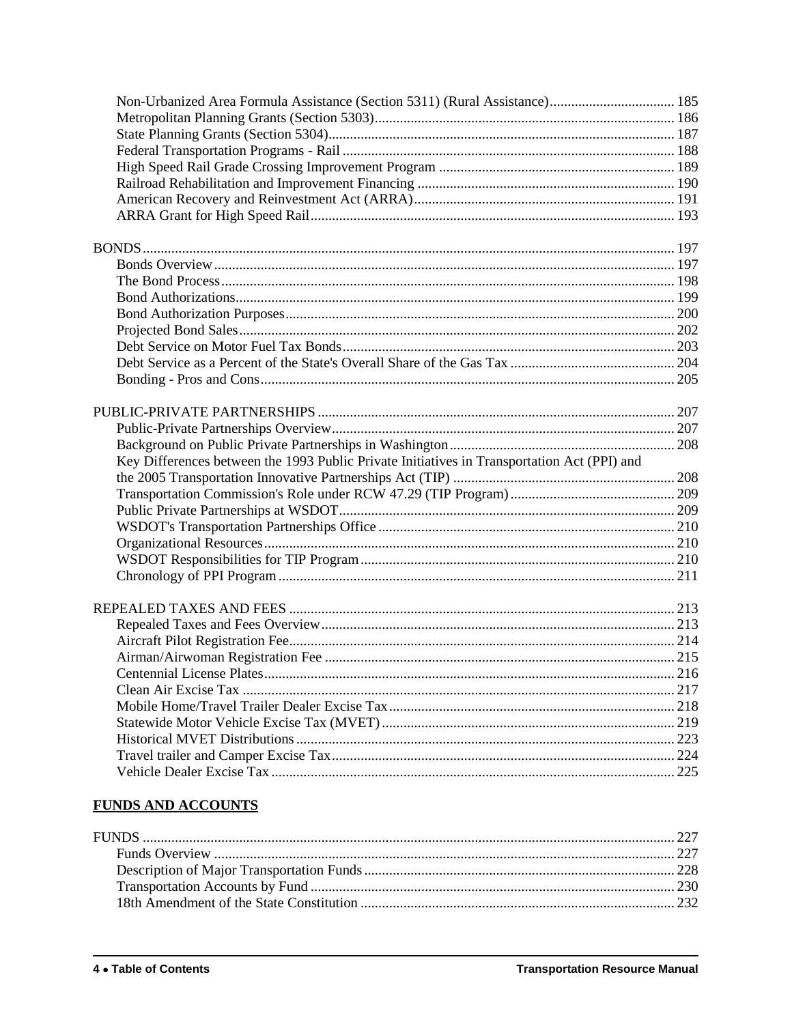| Key Differences between the 1993 Public Private Initiatives in Transportation Act (PPI) and |  |
|---------------------------------------------------------------------------------------------|--|
|                                                                                             |  |
|                                                                                             |  |
|                                                                                             |  |
|                                                                                             |  |
|                                                                                             |  |
|                                                                                             |  |
|                                                                                             |  |
|                                                                                             |  |
|                                                                                             |  |
|                                                                                             |  |
|                                                                                             |  |
|                                                                                             |  |
|                                                                                             |  |
|                                                                                             |  |
|                                                                                             |  |
|                                                                                             |  |
|                                                                                             |  |
|                                                                                             |  |
|                                                                                             |  |

### **FUNDS AND ACCOUNTS**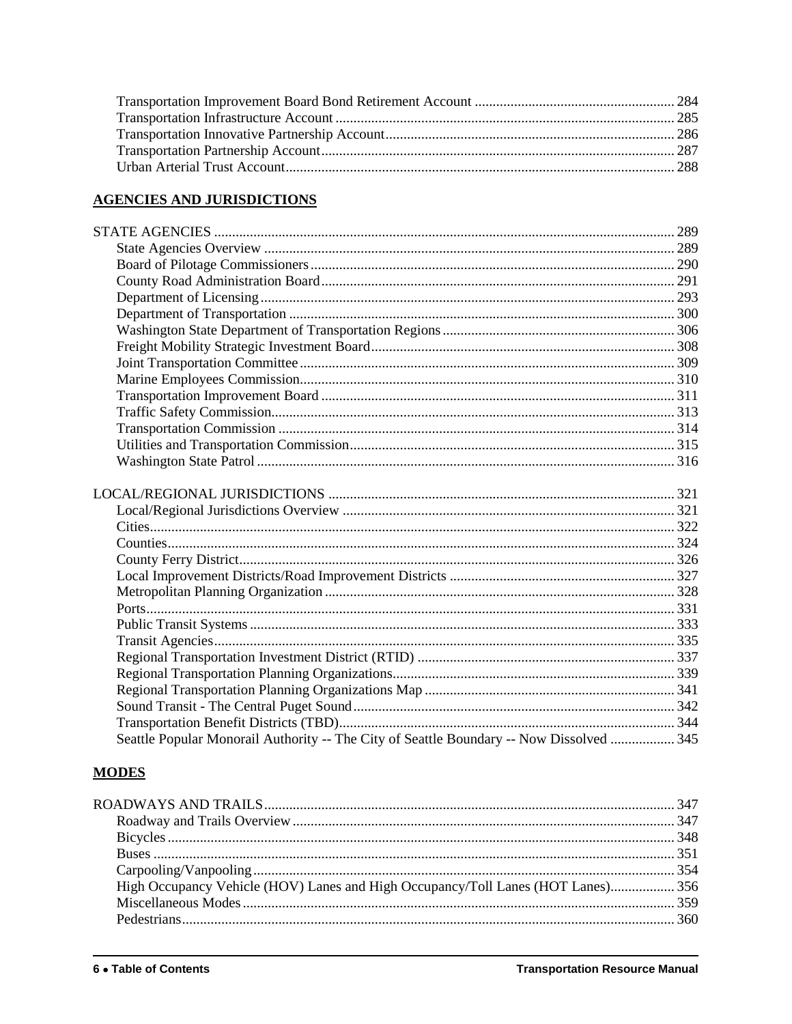#### **AGENCIES AND JURISDICTIONS**

| Seattle Popular Monorail Authority -- The City of Seattle Boundary -- Now Dissolved  345 |  |
|------------------------------------------------------------------------------------------|--|
|                                                                                          |  |

# **MODES**

| High Occupancy Vehicle (HOV) Lanes and High Occupancy/Toll Lanes (HOT Lanes) 356 |  |
|----------------------------------------------------------------------------------|--|
|                                                                                  |  |
|                                                                                  |  |
|                                                                                  |  |